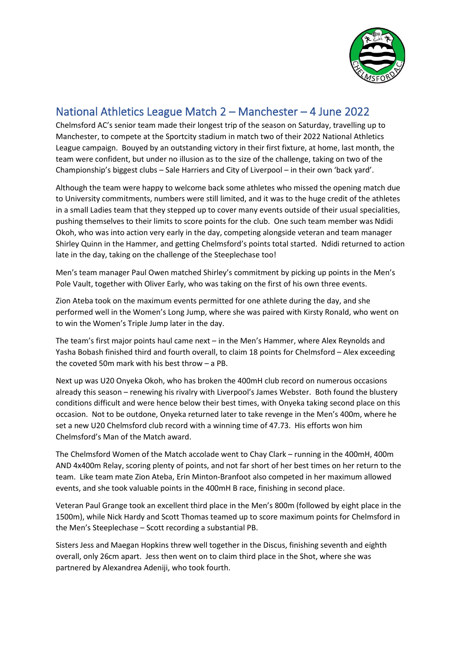

## National Athletics League Match 2 – Manchester – 4 June 2022

Chelmsford AC's senior team made their longest trip of the season on Saturday, travelling up to Manchester, to compete at the Sportcity stadium in match two of their 2022 National Athletics League campaign. Bouyed by an outstanding victory in their first fixture, at home, last month, the team were confident, but under no illusion as to the size of the challenge, taking on two of the Championship's biggest clubs – Sale Harriers and City of Liverpool – in their own 'back yard'.

Although the team were happy to welcome back some athletes who missed the opening match due to University commitments, numbers were still limited, and it was to the huge credit of the athletes in a small Ladies team that they stepped up to cover many events outside of their usual specialities, pushing themselves to their limits to score points for the club. One such team member was Ndidi Okoh, who was into action very early in the day, competing alongside veteran and team manager Shirley Quinn in the Hammer, and getting Chelmsford's points total started. Ndidi returned to action late in the day, taking on the challenge of the Steeplechase too!

Men's team manager Paul Owen matched Shirley's commitment by picking up points in the Men's Pole Vault, together with Oliver Early, who was taking on the first of his own three events.

Zion Ateba took on the maximum events permitted for one athlete during the day, and she performed well in the Women's Long Jump, where she was paired with Kirsty Ronald, who went on to win the Women's Triple Jump later in the day.

The team's first major points haul came next – in the Men's Hammer, where Alex Reynolds and Yasha Bobash finished third and fourth overall, to claim 18 points for Chelmsford – Alex exceeding the coveted 50m mark with his best throw – a PB.

Next up was U20 Onyeka Okoh, who has broken the 400mH club record on numerous occasions already this season – renewing his rivalry with Liverpool's James Webster. Both found the blustery conditions difficult and were hence below their best times, with Onyeka taking second place on this occasion. Not to be outdone, Onyeka returned later to take revenge in the Men's 400m, where he set a new U20 Chelmsford club record with a winning time of 47.73. His efforts won him Chelmsford's Man of the Match award.

The Chelmsford Women of the Match accolade went to Chay Clark – running in the 400mH, 400m AND 4x400m Relay, scoring plenty of points, and not far short of her best times on her return to the team. Like team mate Zion Ateba, Erin Minton-Branfoot also competed in her maximum allowed events, and she took valuable points in the 400mH B race, finishing in second place.

Veteran Paul Grange took an excellent third place in the Men's 800m (followed by eight place in the 1500m), while Nick Hardy and Scott Thomas teamed up to score maximum points for Chelmsford in the Men's Steeplechase – Scott recording a substantial PB.

Sisters Jess and Maegan Hopkins threw well together in the Discus, finishing seventh and eighth overall, only 26cm apart. Jess then went on to claim third place in the Shot, where she was partnered by Alexandrea Adeniji, who took fourth.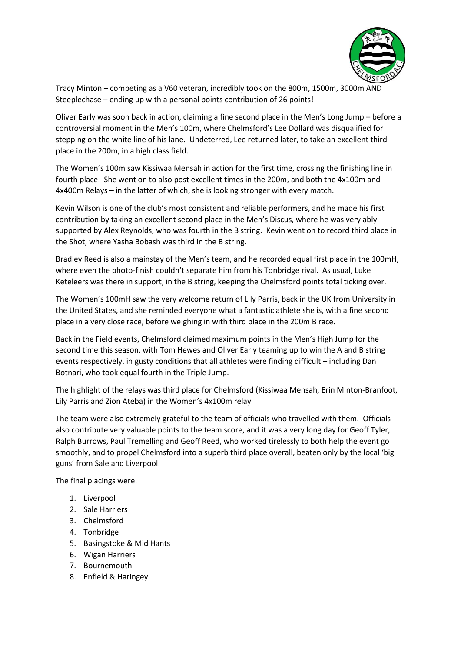

Tracy Minton – competing as a V60 veteran, incredibly took on the 800m, 1500m, 3000m AND Steeplechase – ending up with a personal points contribution of 26 points!

Oliver Early was soon back in action, claiming a fine second place in the Men's Long Jump – before a controversial moment in the Men's 100m, where Chelmsford's Lee Dollard was disqualified for stepping on the white line of his lane. Undeterred, Lee returned later, to take an excellent third place in the 200m, in a high class field.

The Women's 100m saw Kissiwaa Mensah in action for the first time, crossing the finishing line in fourth place. She went on to also post excellent times in the 200m, and both the 4x100m and 4x400m Relays – in the latter of which, she is looking stronger with every match.

Kevin Wilson is one of the club's most consistent and reliable performers, and he made his first contribution by taking an excellent second place in the Men's Discus, where he was very ably supported by Alex Reynolds, who was fourth in the B string. Kevin went on to record third place in the Shot, where Yasha Bobash was third in the B string.

Bradley Reed is also a mainstay of the Men's team, and he recorded equal first place in the 100mH, where even the photo-finish couldn't separate him from his Tonbridge rival. As usual, Luke Keteleers was there in support, in the B string, keeping the Chelmsford points total ticking over.

The Women's 100mH saw the very welcome return of Lily Parris, back in the UK from University in the United States, and she reminded everyone what a fantastic athlete she is, with a fine second place in a very close race, before weighing in with third place in the 200m B race.

Back in the Field events, Chelmsford claimed maximum points in the Men's High Jump for the second time this season, with Tom Hewes and Oliver Early teaming up to win the A and B string events respectively, in gusty conditions that all athletes were finding difficult – including Dan Botnari, who took equal fourth in the Triple Jump.

The highlight of the relays was third place for Chelmsford (Kissiwaa Mensah, Erin Minton-Branfoot, Lily Parris and Zion Ateba) in the Women's 4x100m relay

The team were also extremely grateful to the team of officials who travelled with them. Officials also contribute very valuable points to the team score, and it was a very long day for Geoff Tyler, Ralph Burrows, Paul Tremelling and Geoff Reed, who worked tirelessly to both help the event go smoothly, and to propel Chelmsford into a superb third place overall, beaten only by the local 'big guns' from Sale and Liverpool.

The final placings were:

- 1. Liverpool
- 2. Sale Harriers
- 3. Chelmsford
- 4. Tonbridge
- 5. Basingstoke & Mid Hants
- 6. Wigan Harriers
- 7. Bournemouth
- 8. Enfield & Haringey